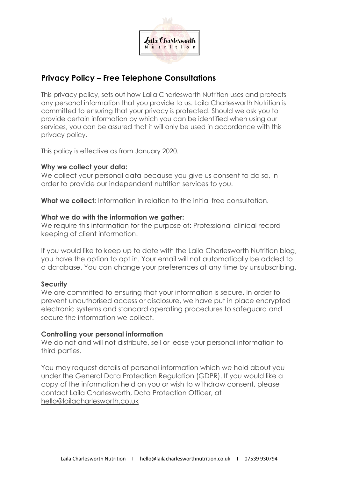

# **Privacy Policy – Free Telephone Consultations**

This privacy policy, sets out how Laila Charlesworth Nutrition uses and protects any personal information that you provide to us. Laila Charlesworth Nutrition is committed to ensuring that your privacy is protected. Should we ask you to provide certain information by which you can be identified when using our services, you can be assured that it will only be used in accordance with this privacy policy.

This policy is effective as from January 2020.

### **Why we collect your data:**

We collect your personal data because you give us consent to do so, in order to provide our independent nutrition services to you.

**What we collect:** Information in relation to the initial free consultation.

### **What we do with the information we gather:**

We require this information for the purpose of: Professional clinical record keeping of client information.

If you would like to keep up to date with the Laila Charlesworth Nutrition blog, you have the option to opt in. Your email will not automatically be added to a database. You can change your preferences at any time by unsubscribing.

## **Security**

We are committed to ensuring that your information is secure. In order to prevent unauthorised access or disclosure, we have put in place encrypted electronic systems and standard operating procedures to safeguard and secure the information we collect.

#### **Controlling your personal information**

We do not and will not distribute, sell or lease your personal information to third parties.

You may request details of personal information which we hold about you under the General Data Protection Regulation (GDPR). If you would like a copy of the information held on you or wish to withdraw consent, please contact Laila Charlesworth, Data Protection Officer, at hello@lailacharlesworth.co.uk